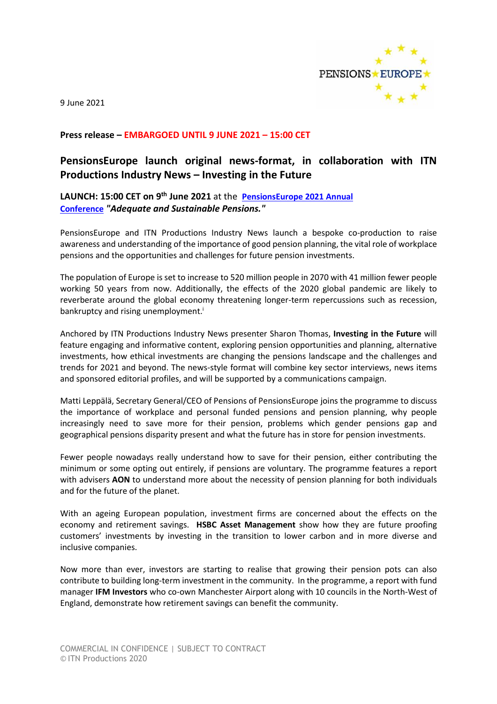

9 June 2021

### **Press release – EMBARGOED UNTIL 9 JUNE 2021 – 15:00 CET**

# **PensionsEurope launch original news-format, in collaboration with ITN Productions Industry News – Investing in the Future**

## **LAUNCH: 15:00 CET on 9 th June 2021** at the **[PensionsEurope](https://www.pensionseurope.eu/pensionseurope-annual-conference-9-10-june-2021-online) 2021 Annual [Conference](https://www.pensionseurope.eu/pensionseurope-annual-conference-9-10-june-2021-online)** *"Adequate and Sustainable Pensions."*

PensionsEurope and ITN Productions Industry News launch a bespoke co-production to raise awareness and understanding of the importance of good pension planning, the vital role of workplace pensions and the opportunities and challenges for future pension investments.

The population of Europe is set to increase to 520 million people in 2070 with 41 million fewer people working 50 years from now. Additionally, the effects of the 2020 global pandemic are likely to reverberate around the global economy threatening longer-term repercussions such as recession, bankruptcy and rising unemployment.<sup>i</sup>

Anchored by ITN Productions Industry News presenter Sharon Thomas, **Investing in the Future** will feature engaging and informative content, exploring pension opportunities and planning, alternative investments, how ethical investments are changing the pensions landscape and the challenges and trends for 2021 and beyond. The news-style format will combine key sector interviews, news items and sponsored editorial profiles, and will be supported by a communications campaign.

Matti Leppälä, Secretary General/CEO of Pensions of PensionsEurope joins the programme to discuss the importance of workplace and personal funded pensions and pension planning, why people increasingly need to save more for their pension, problems which gender pensions gap and geographical pensions disparity present and what the future has in store for pension investments.

Fewer people nowadays really understand how to save for their pension, either contributing the minimum or some opting out entirely, if pensions are voluntary. The programme features a report with advisers **AON** to understand more about the necessity of pension planning for both individuals and for the future of the planet.

With an ageing European population, investment firms are concerned about the effects on the economy and retirement savings. **HSBC Asset Management** show how they are future proofing customers' investments by investing in the transition to lower carbon and in more diverse and inclusive companies.

Now more than ever, investors are starting to realise that growing their pension pots can also contribute to building long-term investment in the community. In the programme, a report with fund manager **IFM Investors** who co-own Manchester Airport along with 10 councils in the North-West of England, demonstrate how retirement savings can benefit the community.